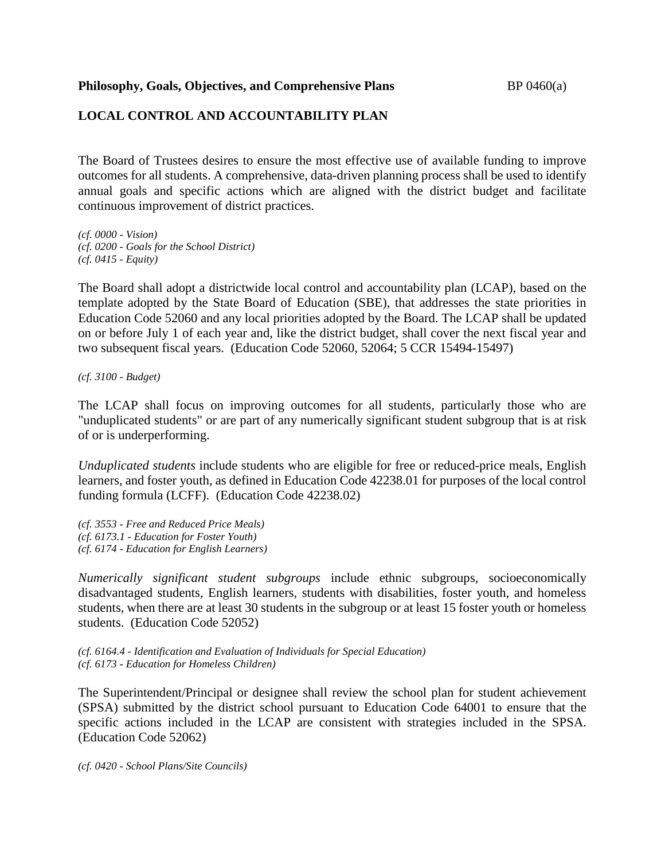## **LOCAL CONTROL AND ACCOUNTABILITY PLAN**

The Board of Trustees desires to ensure the most effective use of available funding to improve outcomes for all students. A comprehensive, data-driven planning process shall be used to identify annual goals and specific actions which are aligned with the district budget and facilitate continuous improvement of district practices.

*(cf. 0000 - Vision) (cf. 0200 - Goals for the School District) (cf. 0415 - Equity)*

The Board shall adopt a districtwide local control and accountability plan (LCAP), based on the template adopted by the State Board of Education (SBE), that addresses the state priorities in Education Code 52060 and any local priorities adopted by the Board. The LCAP shall be updated on or before July 1 of each year and, like the district budget, shall cover the next fiscal year and two subsequent fiscal years. (Education Code 52060, 52064; 5 CCR 15494-15497)

*(cf. 3100 - Budget)*

The LCAP shall focus on improving outcomes for all students, particularly those who are "unduplicated students" or are part of any numerically significant student subgroup that is at risk of or is underperforming.

*Unduplicated students* include students who are eligible for free or reduced-price meals, English learners, and foster youth, as defined in Education Code 42238.01 for purposes of the local control funding formula (LCFF). (Education Code 42238.02)

*(cf. 3553 - Free and Reduced Price Meals) (cf. 6173.1 - Education for Foster Youth) (cf. 6174 - Education for English Learners)*

*Numerically significant student subgroups* include ethnic subgroups, socioeconomically disadvantaged students, English learners, students with disabilities, foster youth, and homeless students, when there are at least 30 students in the subgroup or at least 15 foster youth or homeless students. (Education Code 52052)

*(cf. 6164.4 - Identification and Evaluation of Individuals for Special Education) (cf. 6173 - Education for Homeless Children)*

The Superintendent/Principal or designee shall review the school plan for student achievement (SPSA) submitted by the district school pursuant to Education Code 64001 to ensure that the specific actions included in the LCAP are consistent with strategies included in the SPSA. (Education Code 52062)

*(cf. 0420 - School Plans/Site Councils)*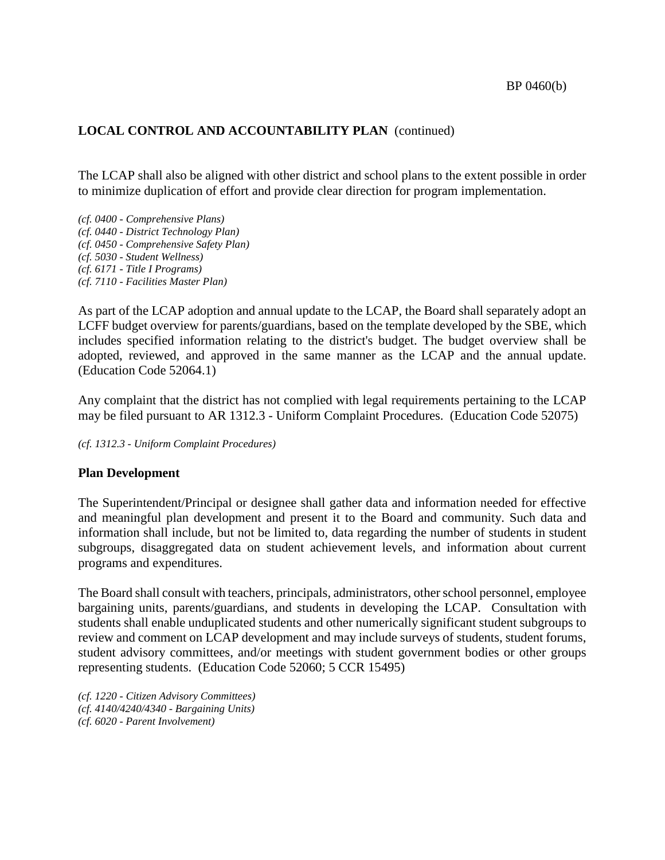The LCAP shall also be aligned with other district and school plans to the extent possible in order to minimize duplication of effort and provide clear direction for program implementation.

*(cf. 0400 - Comprehensive Plans) (cf. 0440 - District Technology Plan) (cf. 0450 - Comprehensive Safety Plan) (cf. 5030 - Student Wellness) (cf. 6171 - Title I Programs) (cf. 7110 - Facilities Master Plan)*

As part of the LCAP adoption and annual update to the LCAP, the Board shall separately adopt an LCFF budget overview for parents/guardians, based on the template developed by the SBE, which includes specified information relating to the district's budget. The budget overview shall be adopted, reviewed, and approved in the same manner as the LCAP and the annual update. (Education Code 52064.1)

Any complaint that the district has not complied with legal requirements pertaining to the LCAP may be filed pursuant to AR 1312.3 - Uniform Complaint Procedures. (Education Code 52075)

*(cf. 1312.3 - Uniform Complaint Procedures)*

#### **Plan Development**

The Superintendent/Principal or designee shall gather data and information needed for effective and meaningful plan development and present it to the Board and community. Such data and information shall include, but not be limited to, data regarding the number of students in student subgroups, disaggregated data on student achievement levels, and information about current programs and expenditures.

The Board shall consult with teachers, principals, administrators, otherschool personnel, employee bargaining units, parents/guardians, and students in developing the LCAP. Consultation with students shall enable unduplicated students and other numerically significant student subgroups to review and comment on LCAP development and may include surveys of students, student forums, student advisory committees, and/or meetings with student government bodies or other groups representing students. (Education Code 52060; 5 CCR 15495)

*(cf. 1220 - Citizen Advisory Committees) (cf. 4140/4240/4340 - Bargaining Units) (cf. 6020 - Parent Involvement)*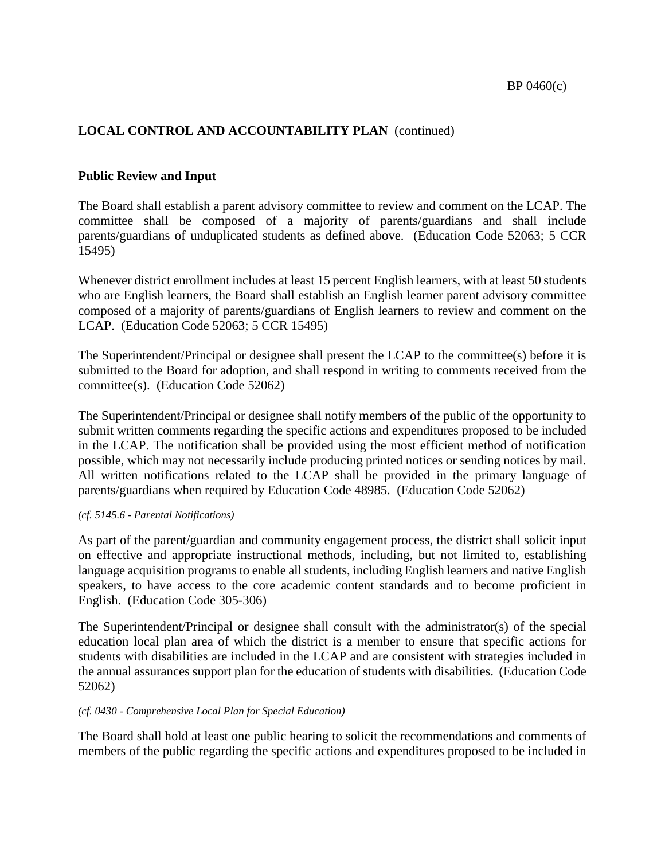### **Public Review and Input**

The Board shall establish a parent advisory committee to review and comment on the LCAP. The committee shall be composed of a majority of parents/guardians and shall include parents/guardians of unduplicated students as defined above. (Education Code 52063; 5 CCR 15495)

Whenever district enrollment includes at least 15 percent English learners, with at least 50 students who are English learners, the Board shall establish an English learner parent advisory committee composed of a majority of parents/guardians of English learners to review and comment on the LCAP. (Education Code 52063; 5 CCR 15495)

The Superintendent/Principal or designee shall present the LCAP to the committee(s) before it is submitted to the Board for adoption, and shall respond in writing to comments received from the committee(s). (Education Code 52062)

The Superintendent/Principal or designee shall notify members of the public of the opportunity to submit written comments regarding the specific actions and expenditures proposed to be included in the LCAP. The notification shall be provided using the most efficient method of notification possible, which may not necessarily include producing printed notices or sending notices by mail. All written notifications related to the LCAP shall be provided in the primary language of parents/guardians when required by Education Code 48985. (Education Code 52062)

#### *(cf. 5145.6 - Parental Notifications)*

As part of the parent/guardian and community engagement process, the district shall solicit input on effective and appropriate instructional methods, including, but not limited to, establishing language acquisition programs to enable all students, including English learners and native English speakers, to have access to the core academic content standards and to become proficient in English. (Education Code 305-306)

The Superintendent/Principal or designee shall consult with the administrator(s) of the special education local plan area of which the district is a member to ensure that specific actions for students with disabilities are included in the LCAP and are consistent with strategies included in the annual assurances support plan for the education of students with disabilities. (Education Code 52062)

#### *(cf. 0430 - Comprehensive Local Plan for Special Education)*

The Board shall hold at least one public hearing to solicit the recommendations and comments of members of the public regarding the specific actions and expenditures proposed to be included in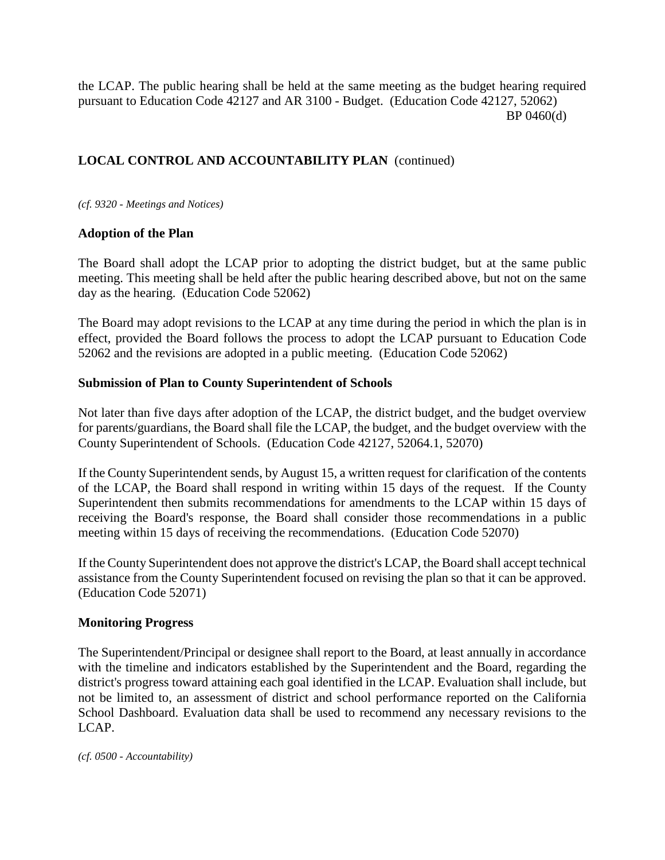the LCAP. The public hearing shall be held at the same meeting as the budget hearing required pursuant to Education Code 42127 and AR 3100 - Budget. (Education Code 42127, 52062) BP 0460(d)

# **LOCAL CONTROL AND ACCOUNTABILITY PLAN** (continued)

*(cf. 9320 - Meetings and Notices)*

### **Adoption of the Plan**

The Board shall adopt the LCAP prior to adopting the district budget, but at the same public meeting. This meeting shall be held after the public hearing described above, but not on the same day as the hearing. (Education Code 52062)

The Board may adopt revisions to the LCAP at any time during the period in which the plan is in effect, provided the Board follows the process to adopt the LCAP pursuant to Education Code 52062 and the revisions are adopted in a public meeting. (Education Code 52062)

### **Submission of Plan to County Superintendent of Schools**

Not later than five days after adoption of the LCAP, the district budget, and the budget overview for parents/guardians, the Board shall file the LCAP, the budget, and the budget overview with the County Superintendent of Schools. (Education Code 42127, 52064.1, 52070)

If the County Superintendent sends, by August 15, a written request for clarification of the contents of the LCAP, the Board shall respond in writing within 15 days of the request. If the County Superintendent then submits recommendations for amendments to the LCAP within 15 days of receiving the Board's response, the Board shall consider those recommendations in a public meeting within 15 days of receiving the recommendations. (Education Code 52070)

If the County Superintendent does not approve the district's LCAP, the Board shall accept technical assistance from the County Superintendent focused on revising the plan so that it can be approved. (Education Code 52071)

### **Monitoring Progress**

The Superintendent/Principal or designee shall report to the Board, at least annually in accordance with the timeline and indicators established by the Superintendent and the Board, regarding the district's progress toward attaining each goal identified in the LCAP. Evaluation shall include, but not be limited to, an assessment of district and school performance reported on the California School Dashboard. Evaluation data shall be used to recommend any necessary revisions to the LCAP.

*(cf. 0500 - Accountability)*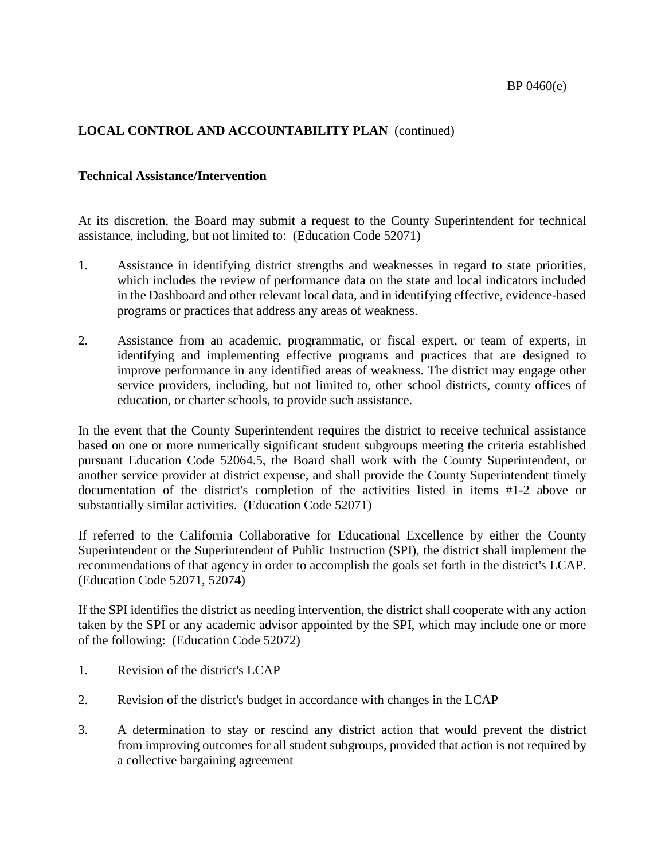## **Technical Assistance/Intervention**

At its discretion, the Board may submit a request to the County Superintendent for technical assistance, including, but not limited to: (Education Code 52071)

- 1. Assistance in identifying district strengths and weaknesses in regard to state priorities, which includes the review of performance data on the state and local indicators included in the Dashboard and other relevant local data, and in identifying effective, evidence-based programs or practices that address any areas of weakness.
- 2. Assistance from an academic, programmatic, or fiscal expert, or team of experts, in identifying and implementing effective programs and practices that are designed to improve performance in any identified areas of weakness. The district may engage other service providers, including, but not limited to, other school districts, county offices of education, or charter schools, to provide such assistance.

In the event that the County Superintendent requires the district to receive technical assistance based on one or more numerically significant student subgroups meeting the criteria established pursuant Education Code 52064.5, the Board shall work with the County Superintendent, or another service provider at district expense, and shall provide the County Superintendent timely documentation of the district's completion of the activities listed in items #1-2 above or substantially similar activities. (Education Code 52071)

If referred to the California Collaborative for Educational Excellence by either the County Superintendent or the Superintendent of Public Instruction (SPI), the district shall implement the recommendations of that agency in order to accomplish the goals set forth in the district's LCAP. (Education Code 52071, 52074)

If the SPI identifies the district as needing intervention, the district shall cooperate with any action taken by the SPI or any academic advisor appointed by the SPI, which may include one or more of the following: (Education Code 52072)

- 1. Revision of the district's LCAP
- 2. Revision of the district's budget in accordance with changes in the LCAP
- 3. A determination to stay or rescind any district action that would prevent the district from improving outcomes for all student subgroups, provided that action is not required by a collective bargaining agreement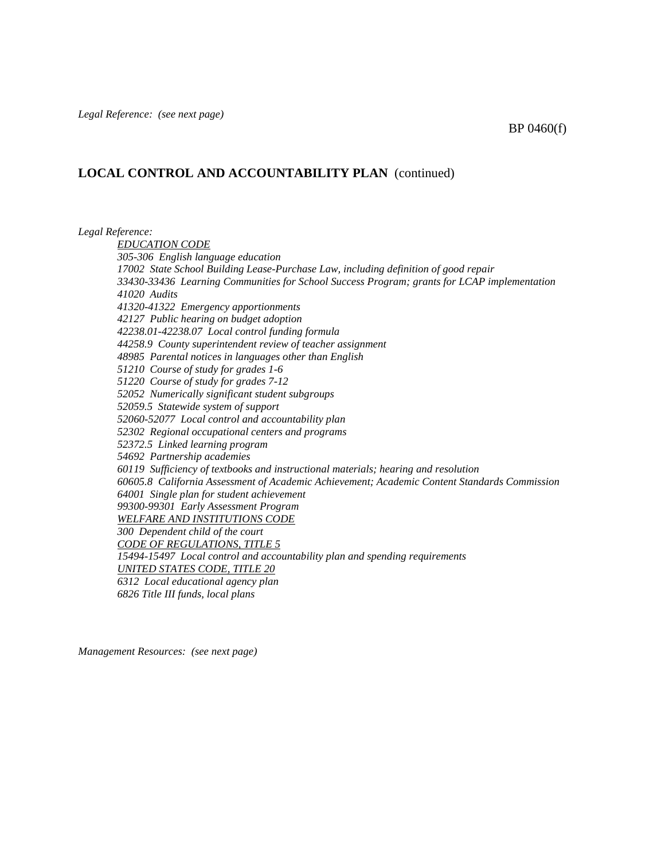#### BP 0460(f)

#### **LOCAL CONTROL AND ACCOUNTABILITY PLAN** (continued)

*Legal Reference: EDUCATION CODE 305-306 English language education 17002 State School Building Lease-Purchase Law, including definition of good repair 33430-33436 Learning Communities for School Success Program; grants for LCAP implementation 41020 Audits 41320-41322 Emergency apportionments 42127 Public hearing on budget adoption 42238.01-42238.07 Local control funding formula 44258.9 County superintendent review of teacher assignment 48985 Parental notices in languages other than English 51210 Course of study for grades 1-6 51220 Course of study for grades 7-12 52052 Numerically significant student subgroups 52059.5 Statewide system of support 52060-52077 Local control and accountability plan 52302 Regional occupational centers and programs 52372.5 Linked learning program 54692 Partnership academies 60119 Sufficiency of textbooks and instructional materials; hearing and resolution 60605.8 California Assessment of Academic Achievement; Academic Content Standards Commission 64001 Single plan for student achievement 99300-99301 Early Assessment Program WELFARE AND INSTITUTIONS CODE 300 Dependent child of the court CODE OF REGULATIONS, TITLE 5 15494-15497 Local control and accountability plan and spending requirements UNITED STATES CODE, TITLE 20 6312 Local educational agency plan 6826 Title III funds, local plans*

*Management Resources: (see next page)*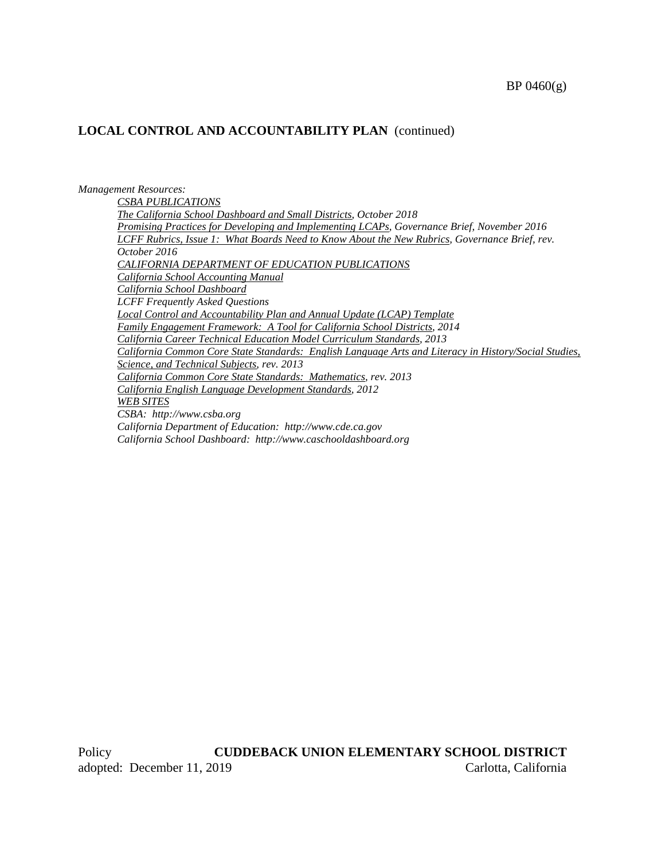*Management Resources:*

*CSBA PUBLICATIONS The California School Dashboard and Small Districts, October 2018 Promising Practices for Developing and Implementing LCAPs, Governance Brief, November 2016 LCFF Rubrics, Issue 1: What Boards Need to Know About the New Rubrics, Governance Brief, rev. October 2016 CALIFORNIA DEPARTMENT OF EDUCATION PUBLICATIONS California School Accounting Manual California School Dashboard LCFF Frequently Asked Questions Local Control and Accountability Plan and Annual Update (LCAP) Template Family Engagement Framework: A Tool for California School Districts, 2014 California Career Technical Education Model Curriculum Standards, 2013 California Common Core State Standards: English Language Arts and Literacy in History/Social Studies, Science, and Technical Subjects, rev. 2013 California Common Core State Standards: Mathematics, rev. 2013 California English Language Development Standards, 2012 WEB SITES CSBA: http://www.csba.org California Department of Education: http://www.cde.ca.gov California School Dashboard: http://www.caschooldashboard.org*

Policy **CUDDEBACK UNION ELEMENTARY SCHOOL DISTRICT** adopted: December 11, 2019 Carlotta, California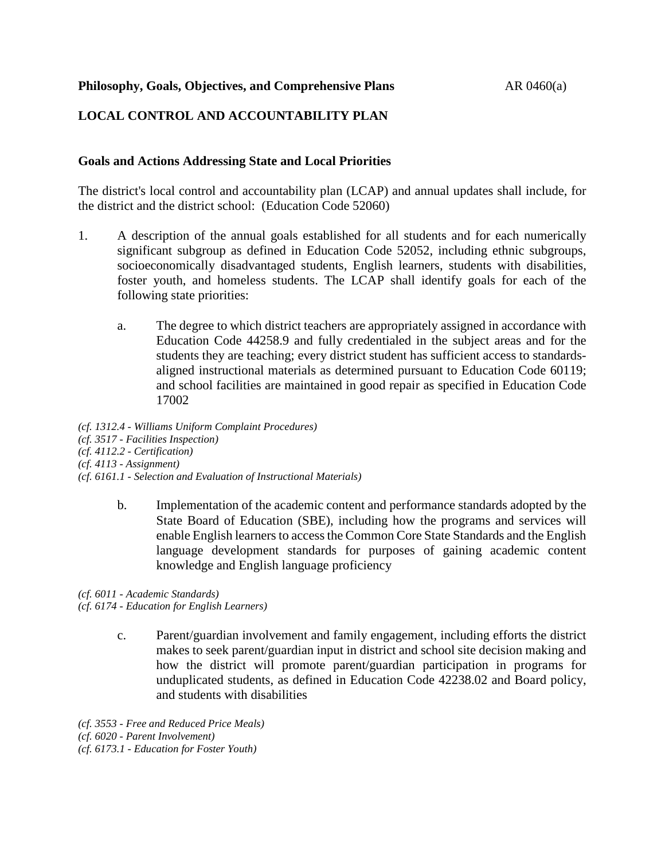## **LOCAL CONTROL AND ACCOUNTABILITY PLAN**

#### **Goals and Actions Addressing State and Local Priorities**

The district's local control and accountability plan (LCAP) and annual updates shall include, for the district and the district school: (Education Code 52060)

- 1. A description of the annual goals established for all students and for each numerically significant subgroup as defined in Education Code 52052, including ethnic subgroups, socioeconomically disadvantaged students, English learners, students with disabilities, foster youth, and homeless students. The LCAP shall identify goals for each of the following state priorities:
	- a. The degree to which district teachers are appropriately assigned in accordance with Education Code 44258.9 and fully credentialed in the subject areas and for the students they are teaching; every district student has sufficient access to standardsaligned instructional materials as determined pursuant to Education Code 60119; and school facilities are maintained in good repair as specified in Education Code 17002

*(cf. 1312.4 - Williams Uniform Complaint Procedures) (cf. 3517 - Facilities Inspection) (cf. 4112.2 - Certification) (cf. 4113 - Assignment) (cf. 6161.1 - Selection and Evaluation of Instructional Materials)*

> b. Implementation of the academic content and performance standards adopted by the State Board of Education (SBE), including how the programs and services will enable English learners to access the Common Core State Standards and the English language development standards for purposes of gaining academic content knowledge and English language proficiency

*(cf. 6011 - Academic Standards) (cf. 6174 - Education for English Learners)*

> c. Parent/guardian involvement and family engagement, including efforts the district makes to seek parent/guardian input in district and school site decision making and how the district will promote parent/guardian participation in programs for unduplicated students, as defined in Education Code 42238.02 and Board policy, and students with disabilities

*(cf. 3553 - Free and Reduced Price Meals) (cf. 6020 - Parent Involvement) (cf. 6173.1 - Education for Foster Youth)*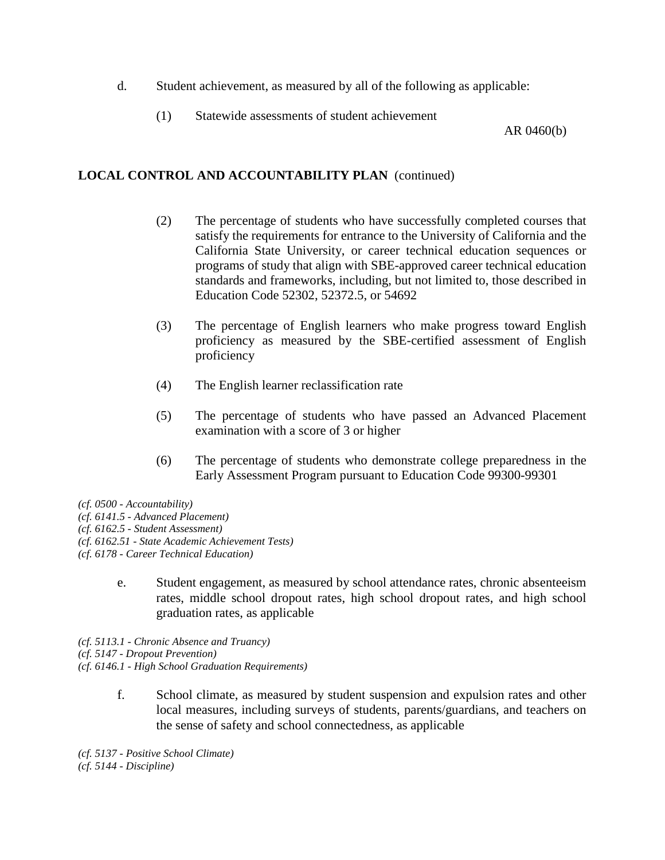- d. Student achievement, as measured by all of the following as applicable:
	- (1) Statewide assessments of student achievement

AR 0460(b)

## **LOCAL CONTROL AND ACCOUNTABILITY PLAN** (continued)

- (2) The percentage of students who have successfully completed courses that satisfy the requirements for entrance to the University of California and the California State University, or career technical education sequences or programs of study that align with SBE-approved career technical education standards and frameworks, including, but not limited to, those described in Education Code 52302, 52372.5, or 54692
- (3) The percentage of English learners who make progress toward English proficiency as measured by the SBE-certified assessment of English proficiency
- (4) The English learner reclassification rate
- (5) The percentage of students who have passed an Advanced Placement examination with a score of 3 or higher
- (6) The percentage of students who demonstrate college preparedness in the Early Assessment Program pursuant to Education Code 99300-99301

*(cf. 0500 - Accountability) (cf. 6141.5 - Advanced Placement) (cf. 6162.5 - Student Assessment) (cf. 6162.51 - State Academic Achievement Tests) (cf. 6178 - Career Technical Education)*

> e. Student engagement, as measured by school attendance rates, chronic absenteeism rates, middle school dropout rates, high school dropout rates, and high school graduation rates, as applicable

*(cf. 5113.1 - Chronic Absence and Truancy) (cf. 5147 - Dropout Prevention) (cf. 6146.1 - High School Graduation Requirements)*

> f. School climate, as measured by student suspension and expulsion rates and other local measures, including surveys of students, parents/guardians, and teachers on the sense of safety and school connectedness, as applicable

*(cf. 5137 - Positive School Climate) (cf. 5144 - Discipline)*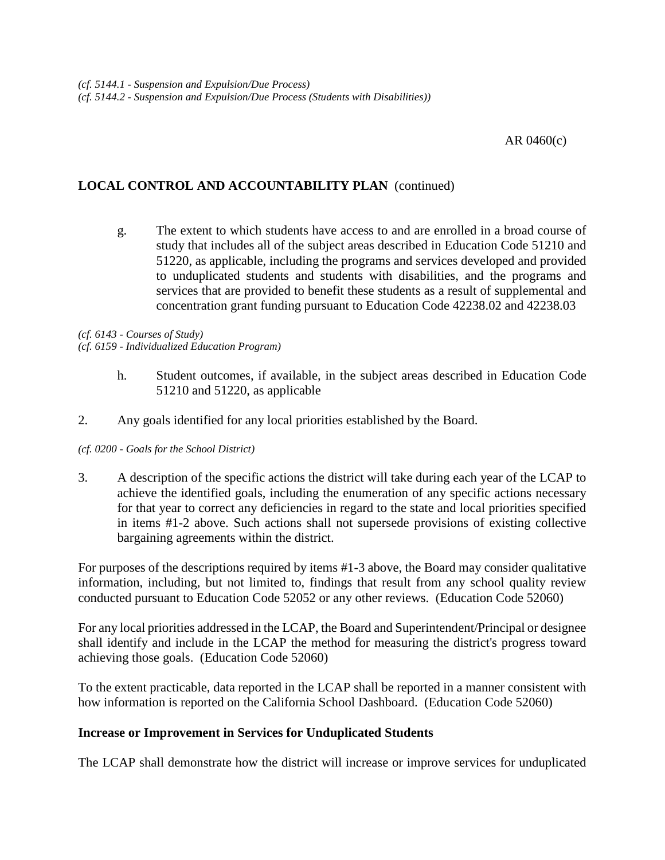## AR 0460(c)

## **LOCAL CONTROL AND ACCOUNTABILITY PLAN** (continued)

g. The extent to which students have access to and are enrolled in a broad course of study that includes all of the subject areas described in Education Code 51210 and 51220, as applicable, including the programs and services developed and provided to unduplicated students and students with disabilities, and the programs and services that are provided to benefit these students as a result of supplemental and concentration grant funding pursuant to Education Code 42238.02 and 42238.03

#### *(cf. 6143 - Courses of Study) (cf. 6159 - Individualized Education Program)*

- h. Student outcomes, if available, in the subject areas described in Education Code 51210 and 51220, as applicable
- 2. Any goals identified for any local priorities established by the Board.

#### *(cf. 0200 - Goals for the School District)*

3. A description of the specific actions the district will take during each year of the LCAP to achieve the identified goals, including the enumeration of any specific actions necessary for that year to correct any deficiencies in regard to the state and local priorities specified in items #1-2 above. Such actions shall not supersede provisions of existing collective bargaining agreements within the district.

For purposes of the descriptions required by items #1-3 above, the Board may consider qualitative information, including, but not limited to, findings that result from any school quality review conducted pursuant to Education Code 52052 or any other reviews. (Education Code 52060)

For any local priorities addressed in the LCAP, the Board and Superintendent/Principal or designee shall identify and include in the LCAP the method for measuring the district's progress toward achieving those goals. (Education Code 52060)

To the extent practicable, data reported in the LCAP shall be reported in a manner consistent with how information is reported on the California School Dashboard. (Education Code 52060)

#### **Increase or Improvement in Services for Unduplicated Students**

The LCAP shall demonstrate how the district will increase or improve services for unduplicated